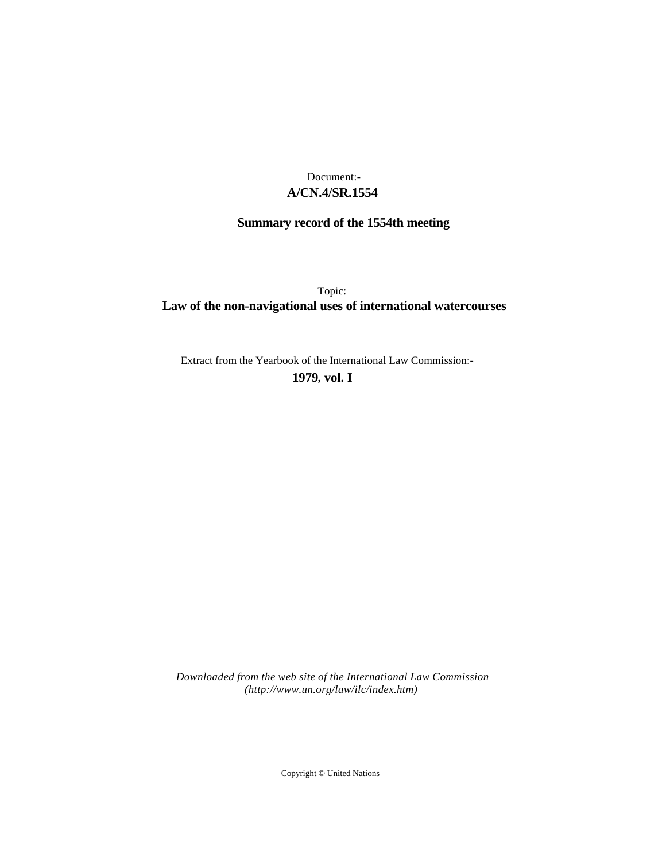# **A/CN.4/SR.1554** Document:-

# **Summary record of the 1554th meeting**

Topic: **Law of the non-navigational uses of international watercourses**

Extract from the Yearbook of the International Law Commission:-

**1979** , **vol. I**

*Downloaded from the web site of the International Law Commission (http://www.un.org/law/ilc/index.htm)*

Copyright © United Nations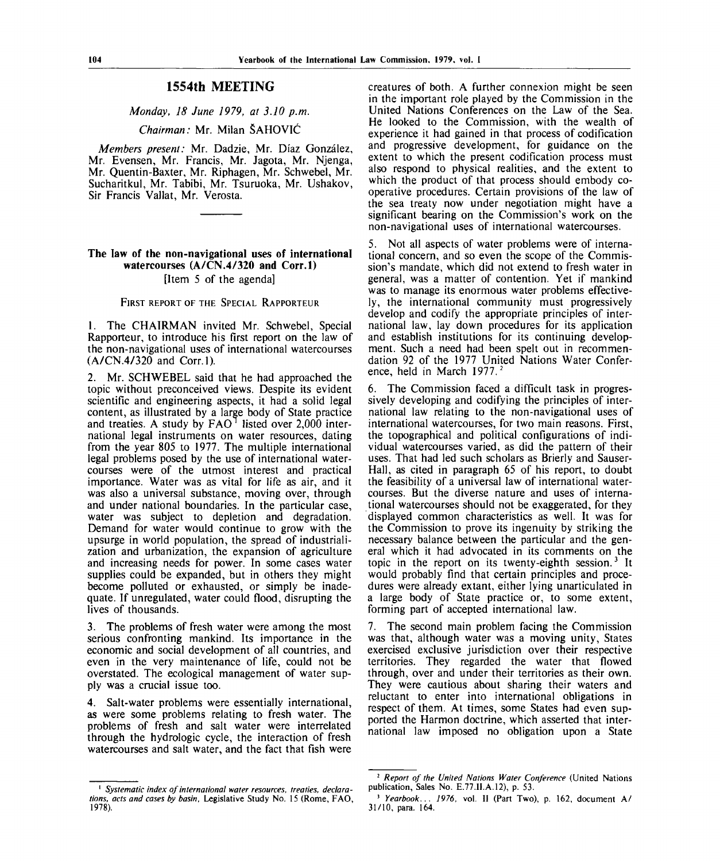# **1554th MEETING**

## *Monday, 18 June 1979, at 3.10 p.m.*

*Chairman:* Mr. Milan SAHOVIC

*Members present:* Mr. Dadzie, Mr. Diaz Gonzalez, Mr. Evensen, Mr. Francis, Mr. Jagota, Mr. Njenga, Mr. Quentin-Baxter, Mr. Riphagen, Mr. Schwebel, Mr. Sucharitkul, Mr. Tabibi, Mr. Tsuruoka, Mr. Ushakov, Sir Francis Vallat, Mr. Verosta.

## The **law** of the non-navigational uses of international watercourses (A/CN.4/320 **and** Corr.l) [Item 5 of the agenda]

#### FIRST REPORT OF THE SPECIAL RAPPORTEUR

1. The CHAIRMAN invited Mr. Schwebel, Special Rapporteur, to introduce his first report on the law of the non-navigational uses of international watercourses (A/CN.4/320 and Corr.l).

2. Mr. SCHWEBEL said that he had approached the topic without preconceived views. Despite its evident scientific and engineering aspects, it had a solid legal content, as illustrated by a large body of State practice and treaties. A study by  $FAO<sup>T</sup>$  listed over 2,000 international legal instruments on water resources, dating from the year 805 to 1977. The multiple international legal problems posed by the use of international watercourses were of the utmost interest and practical importance. Water was as vital for life as air, and it was also a universal substance, moving over, through and under national boundaries. In the particular case, water was subject to depletion and degradation. Demand for water would continue to grow with the upsurge in world population, the spread of industrialization and urbanization, the expansion of agriculture and increasing needs for power. In some cases water supplies could be expanded, but in others they might become polluted or exhausted, or simply be inadequate. If unregulated, water could flood, disrupting the lives of thousands.

3. The problems of fresh water were among the most serious confronting mankind. Its importance in the economic and social development of all countries, and even in the very maintenance of life, could not be overstated. The ecological management of water supply was a crucial issue too.

4. Salt-water problems were essentially international, as were some problems relating to fresh water. The problems of fresh and salt water were interrelated through the hydrologic cycle, the interaction of fresh watercourses and salt water, and the fact that fish were creatures of both. A further connexion might be seen in the important role played by the Commission in the United Nations Conferences on the Law of the Sea. He looked to the Commission, with the wealth of experience it had gained in that process of codification and progressive development, for guidance on the extent to which the present codification process must also respond to physical realities, and the extent to which the product of that process should embody cooperative procedures. Certain provisions of the law of the sea treaty now under negotiation might have a significant bearing on the Commission's work on the non-navigational uses of international watercourses.

5. Not all aspects of water problems were of international concern, and so even the scope of the Commission's mandate, which did not extend to fresh water in general, was a matter of contention. Yet if mankind was to manage its enormous water problems effectively, the international community must progressively develop and codify the appropriate principles of international law, lay down procedures for its application and establish institutions for its continuing development. Such a need had been spelt out in recommendation 92 of the 1977 United Nations Water Conference, held in March  $1977<sup>2</sup>$ 

6. The Commission faced a difficult task in progressively developing and codifying the principles of international law relating to the non-navigational uses of international watercourses, for two main reasons. First, the topographical and political configurations of individual watercourses varied, as did the pattern of their uses. That had led such scholars as Brierly and Sauser-Hall, as cited in paragraph 65 of his report, to doubt the feasibility of a universal law of international watercourses. But the diverse nature and uses of international watercourses should not be exaggerated, for they displayed common characteristics as well. It was for the Commission to prove its ingenuity by striking the necessary balance between the particular and the general which it had advocated in its comments on the topic in the report on its twenty-eighth session.<sup>3</sup> It would probably find that certain principles and procedures were already extant, either lying unarticulated in a large body of State practice or, to some extent, forming part of accepted international law.

7. The second main problem facing the Commission was that, although water was a moving unity, States exercised exclusive jurisdiction over their respective territories. They regarded the water that flowed through, over and under their territories as their own. They were cautious about sharing their waters and reluctant to enter into international obligations in respect of them. At times, some States had even supported the Harmon doctrine, which asserted that international law imposed no obligation upon a State

<sup>&</sup>lt;sup>1</sup> Systematic index of international water resources, treaties, declara*tions, acts and cases by basin,* Legislative Study No. 15 (Rome, FAO, 1978).

<sup>&</sup>lt;sup>2</sup> Report of the United Nations Water Conference (United Nations publication, Sales No. E.77.II.A.12), p. 53.

<sup>3</sup>  *Yearbook... 1976,* vol. II (Part Two), p. 162, document A/ 31/10, para. 164.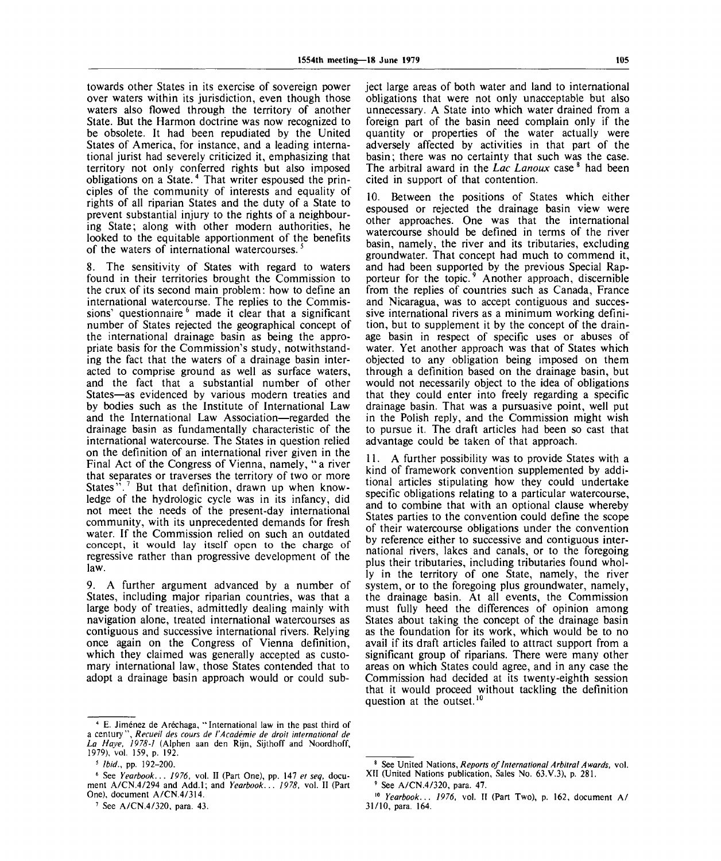towards other States in its exercise of sovereign power over waters within its jurisdiction, even though those waters also flowed through the territory of another State. But the Harmon doctrine was now recognized to be obsolete. It had been repudiated by the United States of America, for instance, and a leading international jurist had severely criticized it, emphasizing that territory not only conferred rights but also imposed obligations on a State.<sup>4</sup> That writer espoused the principles of the community of interests and equality of rights of all riparian States and the duty of a State to prevent substantial injury to the rights of a neighbouring State; along with other modern authorities, he looked to the equitable apportionment of the benefits of the waters of international watercourses.<sup>5</sup>

8. The sensitivity of States with regard to waters found in their territories brought the Commission to the crux of its second main problem: how to define an international watercourse. The replies to the Commis $sions'$  questionnaire  $\delta$  made it clear that a significant number of States rejected the geographical concept of the international drainage basin as being the appropriate basis for the Commission's study, notwithstanding the fact that the waters of a drainage basin interacted to comprise ground as well as surface waters, and the fact that a substantial number of other States—as evidenced by various modern treaties and by bodies such as the Institute of International Law and the International Law Association—regarded the drainage basin as fundamentally characteristic of the international watercourse. The States in question relied on the definition of an international river given in the Final Act of the Congress of Vienna, namely, " a river that separates or traverses the territory of two or more States".<sup>7</sup> But that definition, drawn up when knowledge of the hydrologic cycle was in its infancy, did not meet the needs of the present-day international community, with its unprecedented demands for fresh water. If the Commission relied on such an outdated concept, it would lay itself open to the charge of regressive rather than progressive development of the law.

9. A further argument advanced by a number of States, including major riparian countries, was that a large body of treaties, admittedly dealing mainly with navigation alone, treated international watercourses as contiguous and successive international rivers. Relying once again on the Congress of Vienna definition, which they claimed was generally accepted as customary international law, those States contended that to adopt a drainage basin approach would or could subject large areas of both water and land to international obligations that were not only unacceptable but also unnecessary. A State into which water drained from a foreign part of the basin need complain only if the quantity or properties of the water actually were adversely affected by activities in that part of the basin; there was no certainty that such was the case. The arbitral award in the *Lac Lanoux* case<sup>8</sup> had been cited in support of that contention.

10. Between the positions of States which either espoused or rejected the drainage basin view were other approaches. One was that the international watercourse should be defined in terms of the river basin, namely, the river and its tributaries, excluding groundwater. That concept had much to commend it, and had been supported by the previous Special Rapporteur for the topic.<sup>9</sup> Another approach, discernible from the replies of countries such as Canada, France and Nicaragua, was to accept contiguous and successive international rivers as a minimum working definition, but to supplement it by the concept of the drainage basin in respect of specific uses or abuses of water. Yet another approach was that of States which objected to any obligation being imposed on them through a definition based on the drainage basin, but would not necessarily object to the idea of obligations that they could enter into freely regarding a specific drainage basin. That was a pursuasive point, well put in the Polish reply, and the Commission might wish to pursue it. The draft articles had been so cast that advantage could be taken of that approach.

11. A further possibility was to provide States with a kind of framework convention supplemented by additional articles stipulating how they could undertake specific obligations relating to a particular watercourse, and to combine that with an optional clause whereby States parties to the convention could define the scope of their watercourse obligations under the convention by reference either to successive and contiguous international rivers, lakes and canals, or to the foregoing plus their tributaries, including tributaries found wholly in the territory of one State, namely, the river system, or to the foregoing plus groundwater, namely, the drainage basin. At all events, the Commission must fully heed the differences of opinion among States about taking the concept of the drainage basin as the foundation for its work, which would be to no avail if its draft articles failed to attract support from a significant group of riparians. There were many other areas on which States could agree, and in any case the Commission had decided at its twenty-eighth session that it would proceed without tackling the definition question at the outset.<sup>10</sup>

<sup>4</sup> E. Jimenez de Arechaga, "International law in the past third of a century", *Recueil des cours de I'Academie de droit international de La Haye, 1978-1* (Alphen aan den Rijn, Sijthoff and Noordhoff, 1979), vol. 159, p. 192.

<sup>5</sup>  *Ibid.,* pp. 192-200.

<sup>6</sup> See *Yearbook... 1976,* vol. II (Part One), pp. 147 *et seq,* document A/CN.4/294 and Add.l; and *Yearbook... 1978.* vol. II (Part One), document A/CN.4/314.

<sup>7</sup> See A/CN.4/320, para. 43.

<sup>8</sup> See United Nations, *Reports of International Arbitral Awards,* vol. **XII** (United Nations publication, Sales No. 63.V.3), p. 281.

<sup>9</sup> See A/CN.4/320, para. 47.

<sup>10</sup>  *Yearbook... 1976,* vol. II (Part Two), p. 162, document A/ 31/10, para. 164.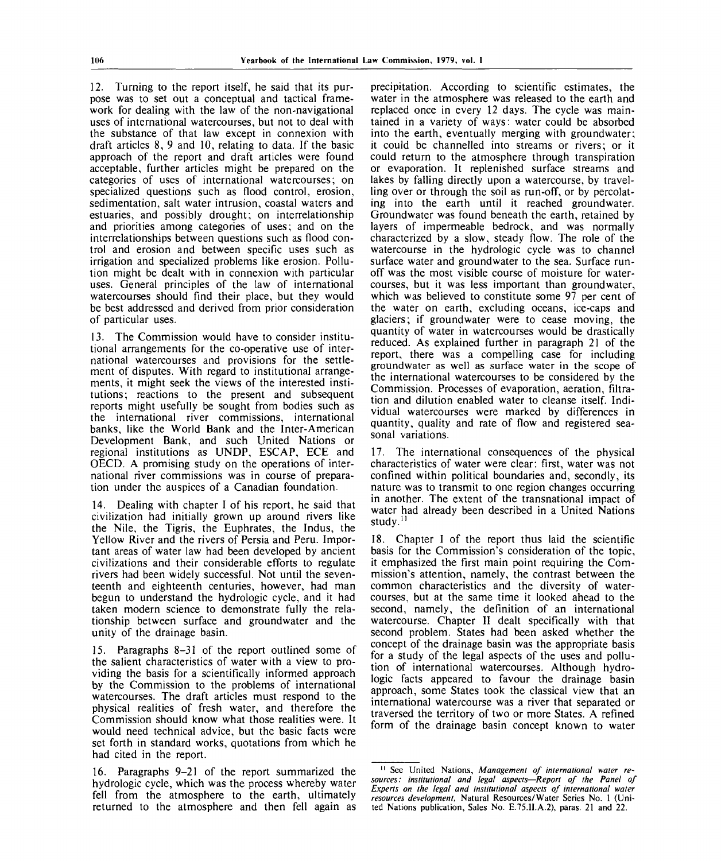12. Turning to the report itself, he said that its purpose was to set out a conceptual and tactical framework for dealing with the law of the non-navigational uses of international watercourses, but not to deal with the substance of that law except in connexion with draft articles 8, 9 and 10, relating to data. If the basic approach of the report and draft articles were found acceptable, further articles might be prepared on the categories of uses of international watercourses; on specialized questions such as flood control, erosion, sedimentation, salt water intrusion, coastal waters and estuaries, and possibly drought; on interrelationship and priorities among categories of uses; and on the interrelationships between questions such as flood control and erosion and between specific uses such as irrigation and specialized problems like erosion. Pollution might be dealt with in connexion with particular uses. General principles of the law of international watercourses should find their place, but they would be best addressed and derived from prior consideration of particular uses.

13. The Commission would have to consider institutional arrangements for the co-operative use of international watercourses and provisions for the settlement of disputes. With regard to institutional arrangements, it might seek the views of the interested institutions; reactions to the present and subsequent reports might usefully be sought from bodies such as the international river commissions, international banks, like the World Bank and the Inter-American Development Bank, and such United Nations or regional institutions as UNDP, ESCAP, ECE and OECD. A promising study on the operations of international river commissions was in course of preparation under the auspices of a Canadian foundation.

14. Dealing with chapter I of his report, he said that civilization had initially grown up around rivers like the Nile, the Tigris, the Euphrates, the Indus, the Yellow River and the rivers of Persia and Peru. Important areas of water law had been developed by ancient civilizations and their considerable efforts to regulate rivers had been widely successful. Not until the seventeenth and eighteenth centuries, however, had man begun to understand the hydrologic cycle, and it had taken modern science to demonstrate fully the relationship between surface and groundwater and the unity of the drainage basin.

15. Paragraphs 8-31 of the report outlined some of the salient characteristics of water with a view to providing the basis for a scientifically informed approach by the Commission to the problems of international watercourses. The draft articles must respond to the physical realities of fresh water, and therefore the Commission should know what those realities were. It would need technical advice, but the basic facts were set forth in standard works, quotations from which he had cited in the report.

16. Paragraphs 9-21 of the report summarized the hydrologic cycle, which was the process whereby water fell from the atmosphere to the earth, ultimately returned to the atmosphere and then fell again as

precipitation. According to scientific estimates, the water in the atmosphere was released to the earth and replaced once in every 12 days. The cycle was maintained in a variety of ways: water could be absorbed into the earth, eventually merging with groundwater; it could be channelled into streams or rivers; or it could return to the atmosphere through transpiration or evaporation. It replenished surface streams and lakes by falling directly upon a watercourse, by travelling over or through the soil as run-off, or by percolating into the earth until it reached groundwater. Groundwater was found beneath the earth, retained by layers of impermeable bedrock, and was normally characterized by a slow, steady flow. The role of the watercourse in the hydrologic cycle was to channel surface water and groundwater to the sea. Surface runoff was the most visible course of moisture for watercourses, but it was less important than groundwater, which was believed to constitute some 97 per cent of the water on earth, excluding oceans, ice-caps and glaciers; if groundwater were to cease moving, the quantity of water in watercourses would be drastically reduced. As explained further in paragraph 21 of the report, there was a compelling case for including groundwater as well as surface water in the scope of the international watercourses to be considered by the Commission. Processes of evaporation, aeration, filtration and dilution enabled water to cleanse itself. Individual watercourses were marked by differences in quantity, quality and rate of flow and registered seasonal variations.

17. The international consequences of the physical characteristics of water were clear: first, water was not confined within political boundaries and, secondly, its nature was to transmit to one region changes occurring in another. The extent of the transnational impact of water had already been described in a United Nations study.<sup>11</sup>

18. Chapter I of the report thus laid the scientific basis for the Commission's consideration of the topic, it emphasized the first main point requiring the Commission's attention, namely, the contrast between the common characteristics and the diversity of watercourses, but at the same time it looked ahead to the second, namely, the definition of an international watercourse. Chapter II dealt specifically with that second problem. States had been asked whether the concept of the drainage basin was the appropriate basis for a study of the legal aspects of the uses and pollution of international watercourses. Although hydrologic facts appeared to favour the drainage basin approach, some States took the classical view that an international watercourse was a river that separated or traversed the territory of two or more States. A refined form of the drainage basin concept known to water

<sup>&</sup>lt;sup>11</sup> See United Nations, Management of international water re*sources: institutional and legal aspects*—*Report of the Panel of Experts on the legal and institutional aspects of international water resources development,* Natural Resources/Water Series No. 1 (United Nations publication, Sales No. E.75.II.A.2), paras. 21 and 22.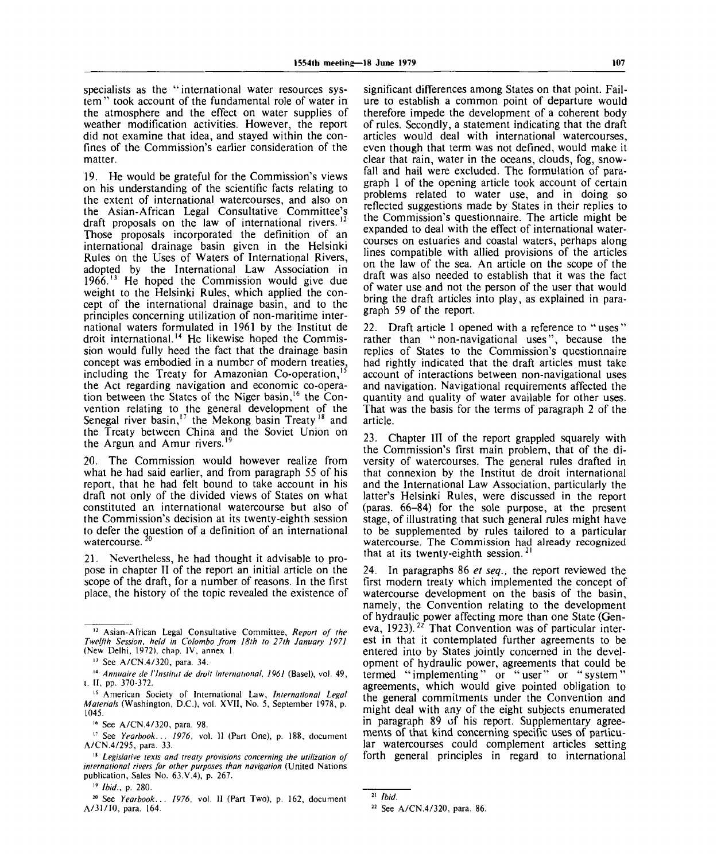specialists as the " international water resources system " took account of the fundamental role of water in the atmosphere and the effect on water supplies of weather modification activities. However, the report did not examine that idea, and stayed within the confines of the Commission's earlier consideration of the matter.

19. He would be grateful for the Commission's views on his understanding of the scientific facts relating to the extent of international watercourses, and also on the Asian-African Legal Consultative Committee's draft proposals on the law of international rivers.<sup>12</sup> Those proposals incorporated the definition of an international drainage basin given in the Helsinki Rules on the Uses of Waters of International Rivers, adopted by the International Law Association in 1966.<sup>13</sup> He hoped the Commission would give due weight to the Helsinki Rules, which applied the concept of the international drainage basin, and to the principles concerning utilization of non-maritime international waters formulated in 1961 by the Institut de droit international.<sup>14</sup> He likewise hoped the Commission would fully heed the fact that the drainage basin concept was embodied in a number of modern treaties, including the Treaty for Amazonian Co-operation,<sup>15</sup> the Act regarding navigation and economic co-operation between the States of the Niger basin,<sup>16</sup> the Convention relating to the general development of the Senegal river basin, $17$  the Mekong basin Treaty<sup>18</sup> and the Treaty between China and the Soviet Union on the Argun and Amur rivers.<sup>19</sup>

20. The Commission would however realize from what he had said earlier, and from paragraph 55 of his report, that he had felt bound to take account in his draft not only of the divided views of States on what constituted an international watercourse but also of the Commission's decision at its twenty-eighth session to defer the question of a definition of an international watercourse. **20**

21. Nevertheless, he had thought it advisable to propose in chapter II of the report an initial article on the scope of the draft, for a number of reasons. In the first place, the history of the topic revealed the existence of

<sup>20</sup> See Yearbook... 1976, vol. II (Part Two), p. 162, document A/31/10, para. 164.

significant differences among States on that point. Failure to establish a common point of departure would therefore impede the development of a coherent body of rules. Secondly, a statement indicating that the draft articles would deal with international watercourses, even though that term was not defined, would make it clear that rain, water in the oceans, clouds, fog, snowfall and hail were excluded. The formulation of paragraph 1 of the opening article took account of certain problems related to water use, and in doing so reflected suggestions made by States in their replies to the Commission's questionnaire. The article might be expanded to deal with the effect of international watercourses on estuaries and coastal waters, perhaps along lines compatible with allied provisions of the articles on the law of the sea. An article on the scope of the draft was also needed to establish that it was the fact of water use and not the person of the user that would bring the draft articles into play, as explained in paragraph 59 of the report.

22. Draft article 1 opened with a reference to "uses" rather than "non-navigational uses", because the replies of States to the Commission's questionnaire had rightly indicated that the draft articles must take account of interactions between non-navigational uses and navigation. Navigational requirements affected the quantity and quality of water available for other uses. That was the basis for the terms of paragraph 2 of the article.

23. Chapter III of the report grappled squarely with the Commission's first main problem, that of the diversity of watercourses. The general rules drafted in that connexion by the Institut de droit international and the International Law Association, particularly the latter's Helsinki Rules, were discussed in the report (paras. 66-84) for the sole purpose, at the present stage, of illustrating that such general rules might have to be supplemented by rules tailored to a particular watercourse. The Commission had already recognized that at its twenty-eighth session.<sup>21</sup>

24. In paragraphs 86 *et seq.,* the report reviewed the first modern treaty which implemented the concept of watercourse development on the basis of the basin, namely, the Convention relating to the development of hydraulic power affecting more than one State (Geneva,  $1923$ ).<sup>22</sup> That Convention was of particular interest in that it contemplated further agreements to be entered into by States jointly concerned in the development of hydraulic power, agreements that could be termed "implementing" or "user" or "system" agreements, which would give pointed obligation to the general commitments under the Convention and might deal with any of the eight subjects enumerated in paragraph 89 of his report. Supplementary agreements of that kind concerning specific uses of particular watercourses could complement articles setting forth general principles in regard to international

21  *Ibid.*

<sup>12</sup> Asian-African Legal Consultative Committee, *Report of the Twelfth Session, held in Colombo from 18th to 27th January 1971* (New Delhi, 1972), chap. IV, annex 1.

<sup>13</sup> See A/CN.4/320, para. 34.

<sup>14</sup>  *Annuaire de I'lnstitut de droit international, 1961* (Basel), vol. 49, t. II, pp. 370-372.

<sup>15</sup> American Society of International Law, *International Legal Materials* (Washington, D.C.), vol. XVII, No. 5, September 1978, p. 1045.

<sup>16</sup> See A/CN.4/320, para. 98.

<sup>17</sup> See *Yearbook... 1976,* vol. 11 (Part One), p. 188, document A/CN.4/295, para. 33.

<sup>&</sup>lt;sup>18</sup> Legislative texts and treaty provisions concerning the utilization of *international rivers for other purposes than navigation* (United Nations publication, Sales No. 63.V.4), p. 267.

<sup>19</sup>  *Ibid.,* p. 280.

*<sup>22</sup>* See A/CN.4/320, para. 86.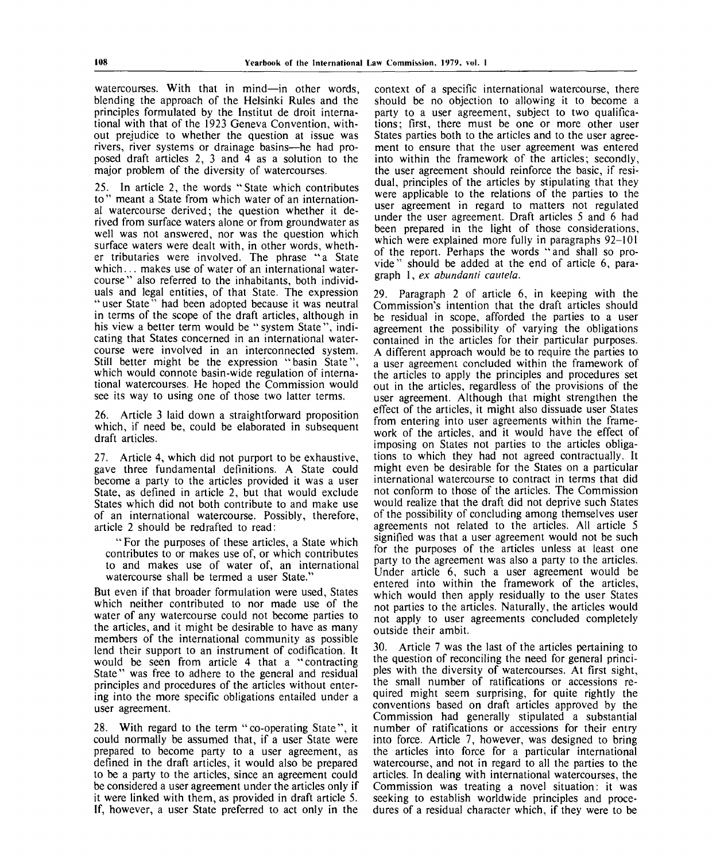watercourses. With that in mind—in other words, blending the approach of the Helsinki Rules and the principles formulated by the Institut de droit international with that of the 1923 Geneva Convention, without prejudice to whether the question at issue was rivers, river systems or drainage basins—he had proposed draft articles 2, 3 and 4 as a solution to the major problem of the diversity of watercourses.

25. In article 2, the words "State which contributes to " meant a State from which water of an international watercourse derived; the question whether it derived from surface waters alone or from groundwater as well was not answered, nor was the question which surface waters were dealt with, in other words, whether tributaries were involved. The phrase "a State which... makes use of water of an international watercourse" also referred to the inhabitants, both individuals and legal entities, of that State. The expression "user State" had been adopted because it was neutral in terms of the scope of the draft articles, although in his view a better term would be "system State", indicating that States concerned in an international watercourse were involved in an interconnected system. Still better might be the expression "basin State", which would connote basin-wide regulation of international watercourses. He hoped the Commission would see its way to using one of those two latter terms.

26. Article 3 laid down a straightforward proposition which, if need be, could be elaborated in subsequent draft articles.

27. Article 4, which did not purport to be exhaustive, gave three fundamental definitions. A State could become a party to the articles provided it was a user State, as defined in article 2, but that would exclude States which did not both contribute to and make use of an international watercourse. Possibly, therefore, article 2 should be redrafted to read:

" For the purposes of these articles, a State which contributes to or makes use of, or which contributes to and makes use of water of, an international watercourse shall be termed a user State."

But even if that broader formulation were used, States which neither contributed to nor made use of the water of any watercourse could not become parties to the articles, and it might be desirable to have as many members of the international community as possible lend their support to an instrument of codification. It would be seen from article 4 that a "contracting State" was free to adhere to the general and residual principles and procedures of the articles without entering into the more specific obligations entailed under a user agreement.

28. With regard to the term "co-operating State", it could normally be assumed that, if a user State were prepared to become party to a user agreement, as defined in the draft articles, it would also be prepared to be a party to the articles, since an agreement could be considered a user agreement under the articles only if it were linked with them, as provided in draft article 5. If, however, a user State preferred to act only in the

context of a specific international watercourse, there should be no objection to allowing it to become a party to a user agreement, subject to two qualifications; first, there must be one or more other user States parties both to the articles and to the user agreement to ensure that the user agreement was entered into within the framework of the articles; secondly, the user agreement should reinforce the basic, if residual, principles of the articles by stipulating that they were applicable to the relations of the parties to the user agreement in regard to matters not regulated under the user agreement. Draft articles 5 and 6 had been prepared in the light of those considerations, which were explained more fully in paragraphs 92-101 of the report. Perhaps the words "and shall so provide" should be added at the end of article 6, paragraph 1, *ex abundant! cautela.*

29. Paragraph 2 of article 6, in keeping with the Commission's intention that the draft articles should be residual in scope, afforded the parties to a user agreement the possibility of varying the obligations contained in the articles for their particular purposes. A different approach would be to require the parties to a user agreement concluded within the framework of the articles to apply the principles and procedures set out in the articles, regardless of the provisions of the user agreement. Although that might strengthen the effect of the articles, it might also dissuade user States from entering into user agreements within the framework of the articles, and it would have the effect of imposing on States not parties to the articles obligations to which they had not agreed contractually. It might even be desirable for the States on a particular international watercourse to contract in terms that did not conform to those of the articles. The Commission would realize that the draft did not deprive such States of the possibility of concluding among themselves user agreements not related to the articles. All article 5 signified was that a user agreement would not be such for the purposes of the articles unless at least one party to the agreement was also a party to the articles. Under article 6, such a user agreement would be entered into within the framework of the articles, which would then apply residually to the user States not parties to the articles. Naturally, the articles would not apply to user agreements concluded completely outside their ambit.

30. Article 7 was the last of the articles pertaining to the question of reconciling the need for general principles with the diversity of watercourses. At first sight, the small number of ratifications or accessions required might seem surprising, for quite rightly the conventions based on draft articles approved by the Commission had generally stipulated a substantial number of ratifications or accessions for their entry into force. Article 7, however, was designed to bring the articles into force for a particular international watercourse, and not in regard to all the parties to the articles. In dealing with international watercourses, the Commission was treating a novel situation: it was seeking to establish worldwide principles and procedures of a residual character which, if they were to be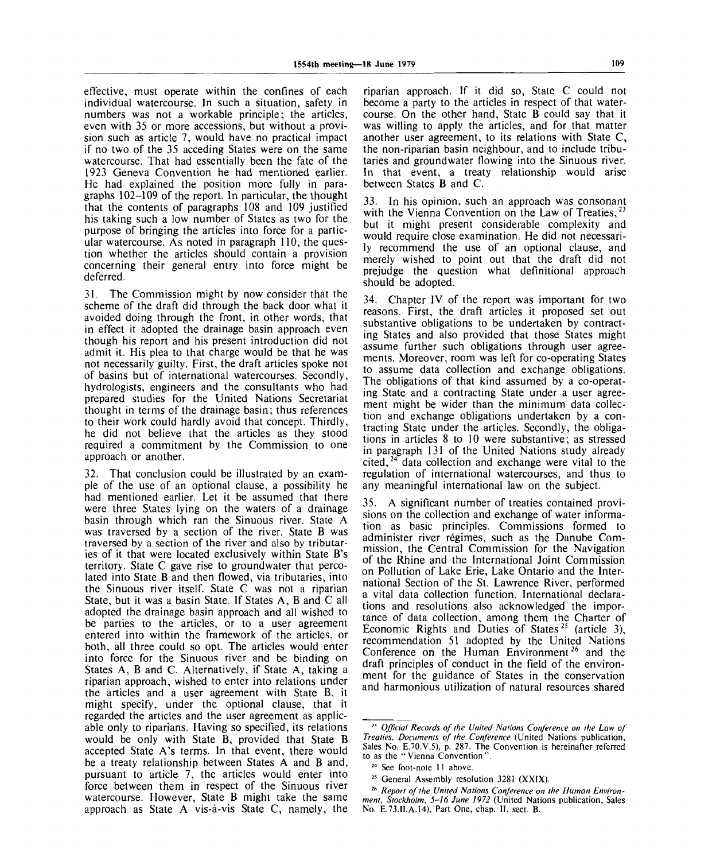effective, must operate within the confines of each individual watercourse. In such a situation, safety in numbers was not a workable principle; the articles, even with 35 or more accessions, but without a provision such as article 7, would have no practical impact if no two of the 35 acceding States were on the same watercourse. That had essentially been the fate of the 1923 Geneva Convention he had mentioned earlier. He had explained the position more fully in paragraphs 102-109 of the report. In particular, the thought that the contents of paragraphs 108 and 109 justified his taking such a low number of States as two for the purpose of bringing the articles into force for a particular watercourse. As noted in paragraph 110, the question whether the articles should contain a provision concerning their general entry into force might be deferred.

31. The Commission might by now consider that the scheme of the draft did through the back door what it avoided doing through the front, in other words, that in effect it adopted the drainage basin approach even though his report and his present introduction did not admit it. His plea to that charge would be that he was not necessarily guilty. First, the draft articles spoke not of basins but of international watercourses. Secondly, hydrologists, engineers and the consultants who had prepared studies for the United Nations Secretariat thought in terms of the drainage basin; thus references to their work could hardly avoid that concept. Thirdly, he did not believe that the articles as they stood required a commitment by the Commission to one approach or another.

32. That conclusion could be illustrated by an example of the use of an optional clause, a possibility he had mentioned earlier. Let it be assumed that there were three States lying on the waters of a drainage basin through which ran the Sinuous river. State A was traversed by a section of the river. State B was traversed by a section of the river and also by tributaries of it that were located exclusively within State B's territory. State C gave rise to groundwater that percolated into State B and then flowed, via tributaries, into the Sinuous river itself. State C was not a riparian State, but it was a basin State. If States A, B and C all adopted the drainage basin approach and all wished to be parties to the articles, or to a user agreement entered into within the framework of the articles, or both, all three could so opt. The articles would enter into force for the Sinuous river and be binding on States A, B and C. Alternatively, if State A, taking a riparian approach, wished to enter into relations under the articles and a user agreement with State B, it might specify, under the optional clause, that it regarded the articles and the user agreement as applicable only to riparians. Having so specified, its relations would be only with State B, provided that State B accepted State A's terms. In that event, there would be a treaty relationship between States A and B and, pursuant to article 7, the articles would enter into force between them in respect of the Sinuous river watercourse. However, State B might take the same approach as State A vis-a-vis State C, namely, the riparian approach. If it did so, State C could not become a party to the articles in respect of that watercourse. On the other hand, State B could say that it was willing to apply the articles, and for that matter another user agreement, to its relations with State C, the non-riparian basin neighbour, and to include tributaries and groundwater flowing into the Sinuous river. In that event, a treaty relationship would arise between States B and C.

33. In his opinion, such an approach was consonant with the Vienna Convention on the Law of Treaties,  $23$ but it might present considerable complexity and would require close examination. He did not necessarily recommend the use of an optional clause, and merely wished to point out that the draft did not prejudge the question what definitional approach should be adopted.

34. Chapter IV of the report was important for two reasons. First, the draft articles it proposed set out substantive obligations to be undertaken by contracting States and also provided that those States might assume further such obligations through user agreements. Moreover, room was left for co-operating States to assume data collection and exchange obligations. The obligations of that kind assumed by a co-operating State and a contracting State under a user agreement might be wider than the minimum data collection and exchange obligations undertaken by a contracting State under the articles. Secondly, the obligations in articles 8 to 10 were substantive; as stressed in paragraph 131 of the United Nations study already  $\frac{1}{2}$  cited,  $\frac{24}{4}$  data collection and exchange were vital to the regulation of international watercourses, and thus to any meaningful international law on the subject.

35. A significant number of treaties contained provisions on the collection and exchange of water information as basic principles. Commissions formed to administer river regimes, such as the Danube Commission, the Central Commission for the Navigation of the Rhine and the International Joint Commission on Pollution of Lake Erie, Lake Ontario and the International Section of the St. Lawrence River, performed a vital data collection function. International declarations and resolutions also acknowledged the importance of data collection, among them the Charter of Economic Rights and Duties of States<sup>25</sup> (article 3). recommendation 51 adopted by the United Nations  $\frac{1}{20}$  Conference on the Human Environment<sup>26</sup> and the draft principles of conduct in the field of the environment for the guidance of States in the conservation and harmonious utilization of natural resources shared

<sup>&</sup>lt;sup>23</sup> Official Records of the United Nations Conference on the Law of *Treaties, Documents of the Conference* (United Nations publication. Sales No. E.70.V.5), p. 287. The Convention is hereinafter referred to as the "Vienna Convention".

<sup>24</sup> See foot-note 11 above.

<sup>&</sup>lt;sup>25</sup> General Assembly resolution 3281 (XXIX).

<sup>&</sup>lt;sup>26</sup> Report of the United Nations Conference on the Human Environ*ment, Stockholm, 5-16 June 1972* (United Nations publication, Sales No. E.73.II.A.14), Part One, chap. II, sect. B.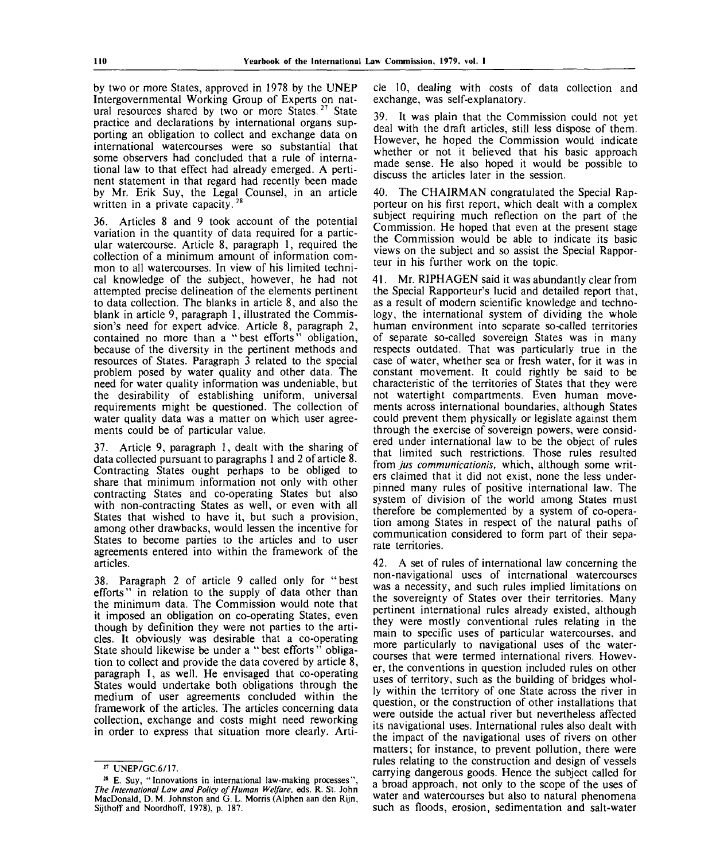by two or more States, approved in 1978 by the UNEP Intergovernmental Working Group of Experts on natural resources shared by two or more States.<sup>27</sup> State practice and declarations by international organs supporting an obligation to collect and exchange data on international watercourses were so substantial that some observers had concluded that a rule of international law to that effect had already emerged. A pertinent statement in that regard had recently been made by Mr. Erik Suy, the Legal Counsel, in an article written in a private capacity.<sup>28</sup>

36. Articles 8 and 9 took account of the potential variation in the quantity of data required for a particular watercourse. Article 8, paragraph 1, required the collection of a minimum amount of information common to all watercourses. In view of his limited technical knowledge of the subject, however, he had not attempted precise delineation of the elements pertinent to data collection. The blanks in article 8, and also the blank in article 9, paragraph 1, illustrated the Commission's need for expert advice. Article 8, paragraph 2, contained no more than a "best efforts" obligation, because of the diversity in the pertinent methods and resources of States. Paragraph 3 related to the special problem posed by water quality and other data. The need for water quality information was undeniable, but the desirability of establishing uniform, universal requirements might be questioned. The collection of water quality data was a matter on which user agreements could be of particular value.

37. Article 9, paragraph 1, dealt with the sharing of data collected pursuant to paragraphs 1 and 2 of article 8. Contracting States ought perhaps to be obliged to share that minimum information not only with other contracting States and co-operating States but also with non-contracting States as well, or even with all States that wished to have it, but such a provision, among other drawbacks, would lessen the incentive for States to become parties to the articles and to user agreements entered into within the framework of the articles.

38. Paragraph 2 of article 9 called only for "best efforts" in relation to the supply of data other than the minimum data. The Commission would note that it imposed an obligation on co-operating States, even though by definition they were not parties to the articles. It obviously was desirable that a co-operating State should likewise be under a " best efforts " obligation to collect and provide the data covered by article 8, paragraph 1, as well. He envisaged that co-operating States would undertake both obligations through the medium of user agreements concluded within the framework of the articles. The articles concerning data collection, exchange and costs might need reworking in order to express that situation more clearly. Article 10, dealing with costs of data collection and exchange, was self-explanatory.

39. It was plain that the Commission could not yet deal with the draft articles, still less dispose of them. However, he hoped the Commission would indicate whether or not it believed that his basic approach made sense. He also hoped it would be possible to discuss the articles later in the session.

40. The CHAIRMAN congratulated the Special Rapporteur on his first report, which dealt with a complex subject requiring much reflection on the part of the Commission. He hoped that even at the present stage the Commission would be able to indicate its basic views on the subject and so assist the Special Rapporteur in his further work on the topic.

41. Mr. RIPHAGEN said it was abundantly clear from the Special Rapporteur's lucid and detailed report that, as a result of modern scientific knowledge and technology, the international system of dividing the whole human environment into separate so-called territories of separate so-called sovereign States was in many respects outdated. That was particularly true in the case of water, whether sea or fresh water, for it was in constant movement. It could rightly be said to be characteristic of the territories of States that they were not watertight compartments. Even human movements across international boundaries, although States could prevent them physically or legislate against them through the exercise of sovereign powers, were considered under international law to be the object of rules that limited such restrictions. Those rules resulted *from jus communicationis,* which, although some writers claimed that it did not exist, none the less underpinned many rules of positive international law. The system of division of the world among States must therefore be complemented by a system of co-operation among States in respect of the natural paths of communication considered to form part of their separate territories.

42. A set of rules of international law concerning the non-navigational uses of international watercourses was a necessity, and such rules implied limitations on the sovereignty of States over their territories. Many pertinent international rules already existed, although they were mostly conventional rules relating in the main to specific uses of particular watercourses, and more particularly to navigational uses of the watercourses that were termed international rivers. However, the conventions in question included rules on other uses of territory, such as the building of bridges wholly within the territory of one State across the river in question, or the construction of other installations that were outside the actual river but nevertheless affected its navigational uses. International rules also dealt with the impact of the navigational uses of rivers on other matters; for instance, to prevent pollution, there were rules relating to the construction and design of vessels carrying dangerous goods. Hence the subject called for a broad approach, not only to the scope of the uses of water and watercourses but also to natural phenomena such as floods, erosion, sedimentation and salt-water

<sup>27</sup> UNEP/GC.6/17.

<sup>&</sup>lt;sup>28</sup> E. Suy, "Innovations in international law-making processes", *The International Law and Policy of Human Welfare,* eds. R. St. John MacDonald, D. M. Johnston and G. L. Morris (Alphen aan den Rijn, Sijthoff and Noordhoff, 1978), p. 187.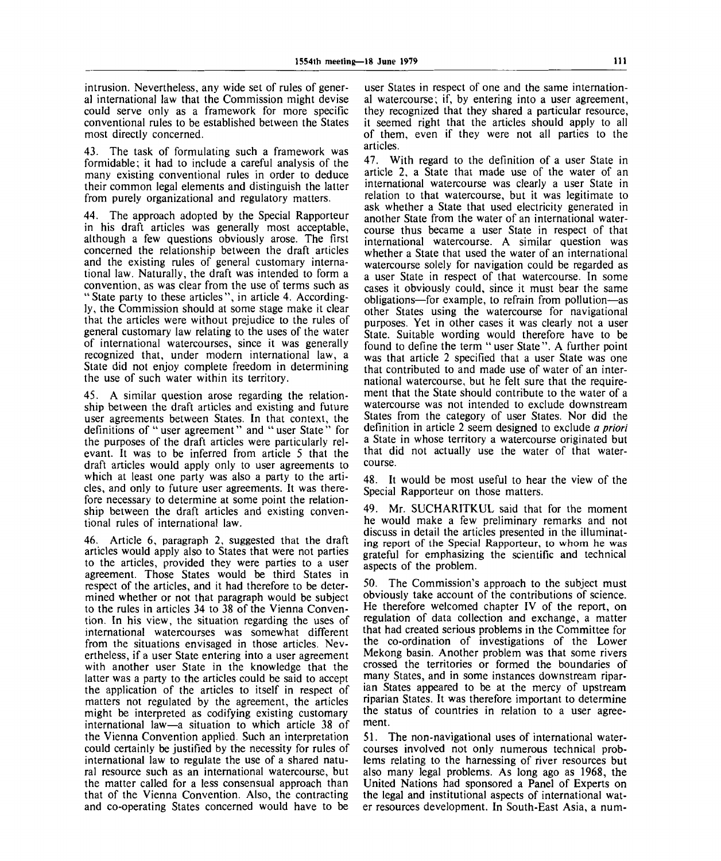intrusion. Nevertheless, any wide set of rules of general international law that the Commission might devise could serve only as a framework for more specific conventional rules to be established between the States most directly concerned.

43. The task of formulating such a framework was formidable; it had to include a careful analysis of the many existing conventional rules in order to deduce their common legal elements and distinguish the latter from purely organizational and regulatory matters.

44. The approach adopted by the Special Rapporteur in his draft articles was generally most acceptable, although a few questions obviously arose. The first concerned the relationship between the draft articles and the existing rules of general customary international law. Naturally, the draft was intended to form a convention, as was clear from the use of terms such as "State party to these articles", in article 4. Accordingly, the Commission should at some stage make it clear that the articles were without prejudice to the rules of general customary law relating to the uses of the water of international watercourses, since it was generally recognized that, under modern international law, a State did not enjoy complete freedom in determining the use of such water within its territory.

45. A similar question arose regarding the relationship between the draft articles and existing and future user agreements between States. In that context, the definitions of "user agreement" and "user State" for the purposes of the draft articles were particularly relevant. It was to be inferred from article 5 that the draft articles would apply only to user agreements to which at least one party was also a party to the articles, and only to future user agreements. It was therefore necessary to determine at some point the relationship between the draft articles and existing conventional rules of international law.

46. Article 6, paragraph 2, suggested that the draft articles would apply also to States that were not parties to the articles, provided they were parties to a user agreement. Those States would be third States in respect of the articles, and it had therefore to be determined whether or not that paragraph would be subject to the rules in articles 34 to 38 of the Vienna Convention. In his view, the situation regarding the uses of international watercourses was somewhat different from the situations envisaged in those articles. Nevertheless, if a user State entering into a user agreement with another user State in the knowledge that the latter was a party to the articles could be said to accept the application of the articles to itself in respect of matters not regulated by the agreement, the articles might be interpreted as codifying existing customary international law—a situation to which article 38 of the Vienna Convention applied. Such an interpretation could certainly be justified by the necessity for rules of international law to regulate the use of a shared natural resource such as an international watercourse, but the matter called for a less consensual approach than that of the Vienna Convention. Also, the contracting and co-operating States concerned would have to be user States in respect of one and the same international watercourse; if, by entering into a user agreement, they recognized that they shared a particular resource, it seemed right that the articles should apply to all of them, even if they were not all parties to the articles.

47. With regard to the definition of a user State in article 2, a State that made use of the water of an international watercourse was clearly a user State in relation to that watercourse, but it was legitimate to ask whether a State that used electricity generated in another State from the water of an international watercourse thus became a user State in respect of that international watercourse. A similar question was whether a State that used the water of an international watercourse solely for navigation could be regarded as a user State in respect of that watercourse. In some cases it obviously could, since it must bear the same obligations—for example, to refrain from pollution—as other States using the watercourse for navigational purposes. Yet in other cases it was clearly not a user State. Suitable wording would therefore have to be found to define the term " user State". A further point was that article 2 specified that a user State was one that contributed to and made use of water of an international watercourse, but he felt sure that the requirement that the State should contribute to the water of a watercourse was not intended to exclude downstream States from the category of user States. Nor did the definition in article 2 seem designed to exclude *a priori* a State in whose territory a watercourse originated but that did not actually use the water of that watercourse.

48. It would be most useful to hear the view of the Special Rapporteur on those matters.

49. Mr. SUCHARITKUL said that for the moment he would make a few preliminary remarks and not discuss in detail the articles presented in the illuminating report of the Special Rapporteur, to whom he was grateful for emphasizing the scientific and technical aspects of the problem.

50. The Commission's approach to the subject must obviously take account of the contributions of science. He therefore welcomed chapter IV of the report, on regulation of data collection and exchange, a matter that had created serious problems in the Committee for the co-ordination of investigations of the Lower Mekong basin. Another problem was that some rivers crossed the territories or formed the boundaries of many States, and in some instances downstream riparian States appeared to be at the mercy of upstream riparian States. It was therefore important to determine the status of countries in relation to a user agreement.

51. The non-navigational uses of international watercourses involved not only numerous technical problems relating to the harnessing of river resources but also many legal problems. As long ago as 1968, the United Nations had sponsored a Panel of Experts on the legal and institutional aspects of international water resources development. In South-East Asia, a num